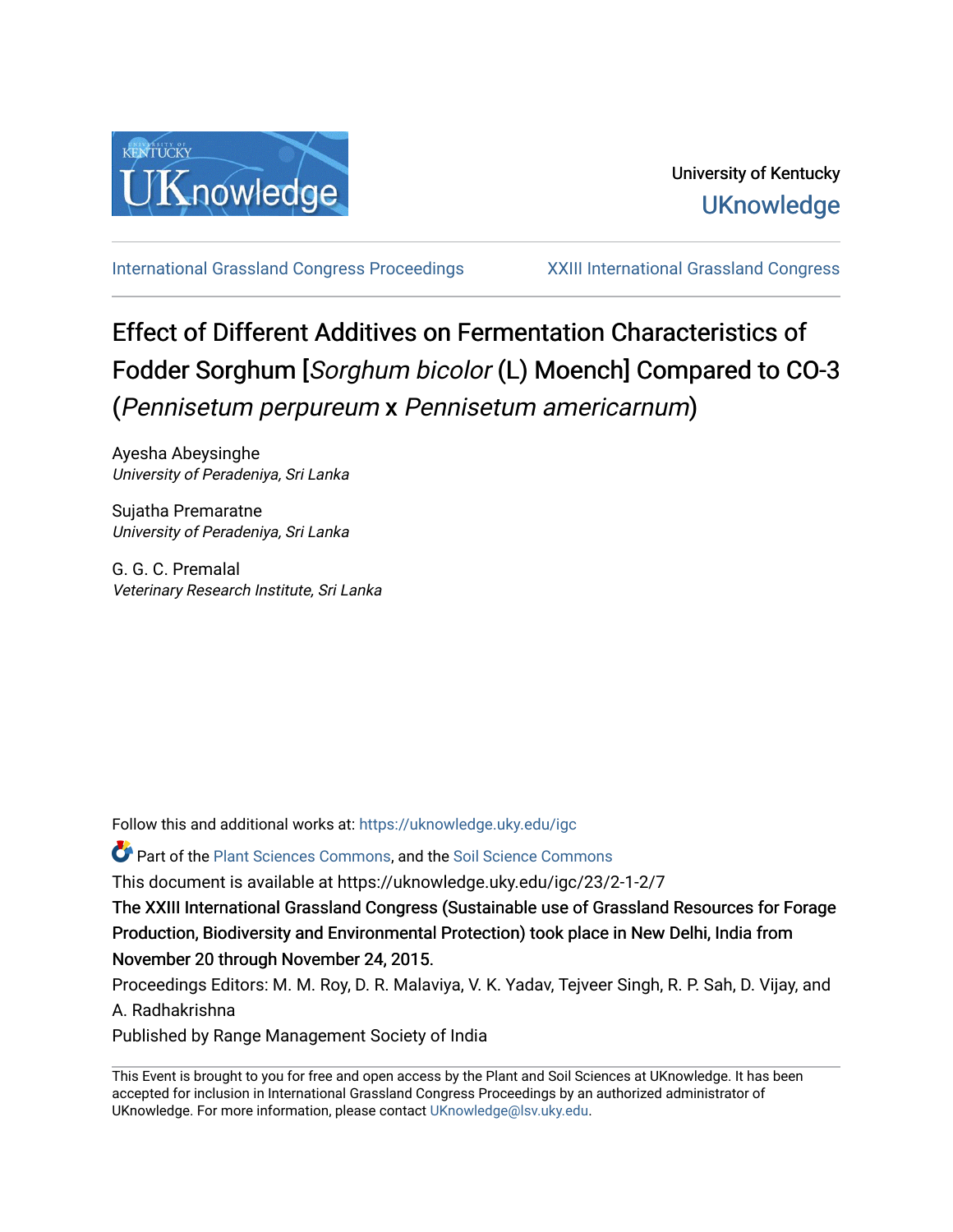

[International Grassland Congress Proceedings](https://uknowledge.uky.edu/igc) [XXIII International Grassland Congress](https://uknowledge.uky.edu/igc/23) 

# Effect of Different Additives on Fermentation Characteristics of Fodder Sorghum [Sorghum bicolor (L) Moench] Compared to CO-3 (Pennisetum perpureum x Pennisetum americarnum)

Ayesha Abeysinghe University of Peradeniya, Sri Lanka

Sujatha Premaratne University of Peradeniya, Sri Lanka

G. G. C. Premalal Veterinary Research Institute, Sri Lanka

Follow this and additional works at: [https://uknowledge.uky.edu/igc](https://uknowledge.uky.edu/igc?utm_source=uknowledge.uky.edu%2Figc%2F23%2F2-1-2%2F7&utm_medium=PDF&utm_campaign=PDFCoverPages) 

**P** Part of the [Plant Sciences Commons](http://network.bepress.com/hgg/discipline/102?utm_source=uknowledge.uky.edu%2Figc%2F23%2F2-1-2%2F7&utm_medium=PDF&utm_campaign=PDFCoverPages), and the Soil Science Commons

This document is available at https://uknowledge.uky.edu/igc/23/2-1-2/7

The XXIII International Grassland Congress (Sustainable use of Grassland Resources for Forage Production, Biodiversity and Environmental Protection) took place in New Delhi, India from November 20 through November 24, 2015.

Proceedings Editors: M. M. Roy, D. R. Malaviya, V. K. Yadav, Tejveer Singh, R. P. Sah, D. Vijay, and A. Radhakrishna

Published by Range Management Society of India

This Event is brought to you for free and open access by the Plant and Soil Sciences at UKnowledge. It has been accepted for inclusion in International Grassland Congress Proceedings by an authorized administrator of UKnowledge. For more information, please contact [UKnowledge@lsv.uky.edu](mailto:UKnowledge@lsv.uky.edu).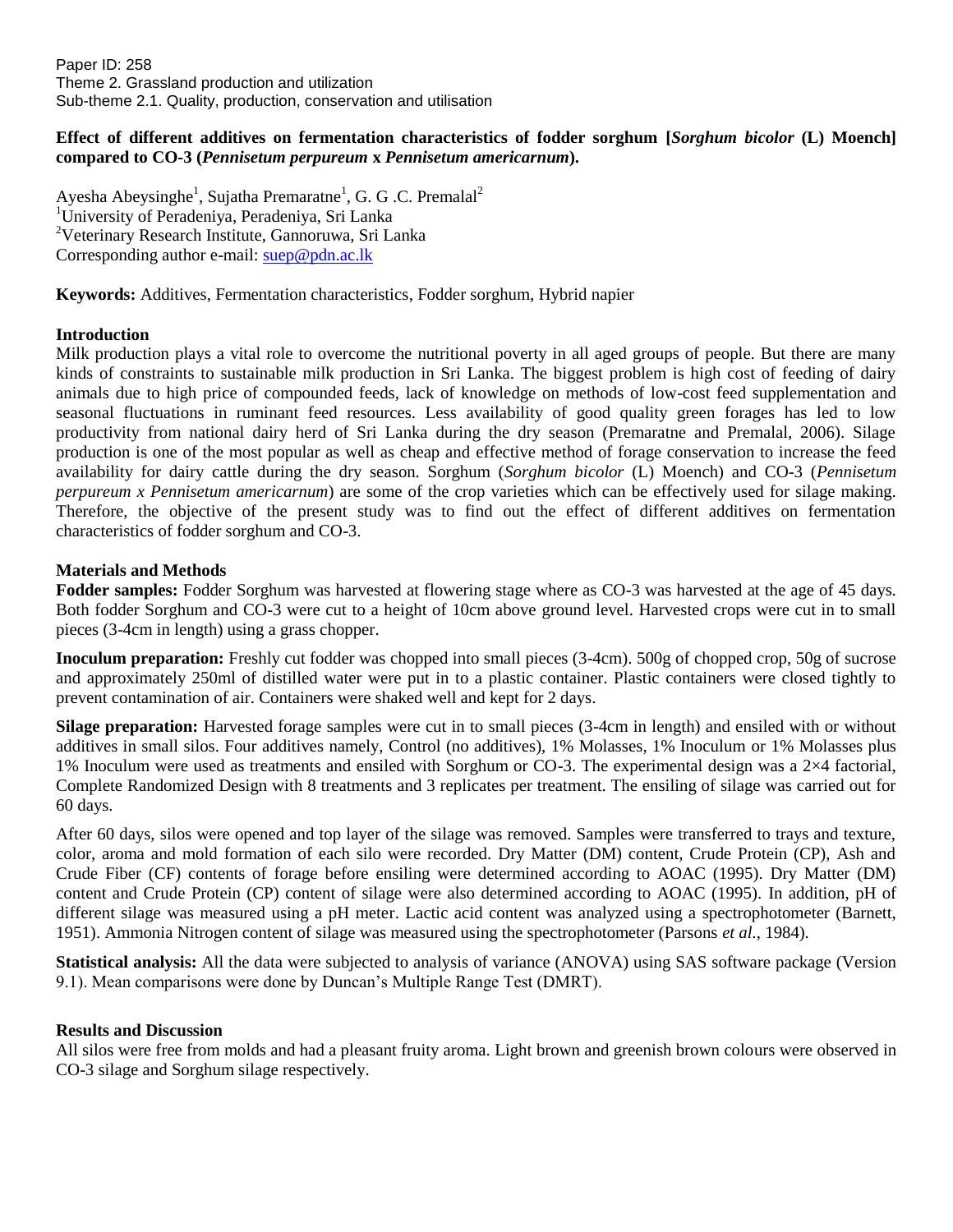Paper ID: 258 Theme 2. Grassland production and utilization Sub-theme 2.1. Quality, production, conservation and utilisation

# **Effect of different additives on fermentation characteristics of fodder sorghum [***Sorghum bicolor* **(L) Moench] compared to CO-3 (***Pennisetum perpureum* **x** *Pennisetum americarnum***).**

Ayesha Abeysinghe<sup>1</sup>, Sujatha Premaratne<sup>1</sup>, G. G. C. Premalal<sup>2</sup> <sup>1</sup>University of Peradeniya, Peradeniya, Sri Lanka <sup>2</sup>Veterinary Research Institute, Gannoruwa, Sri Lanka Corresponding author e-mail: [suep@pdn.ac.lk](mailto:suep@pdn.ac.lk)

**Keywords:** Additives, Fermentation characteristics, Fodder sorghum, Hybrid napier

# **Introduction**

Milk production plays a vital role to overcome the nutritional poverty in all aged groups of people. But there are many kinds of constraints to sustainable milk production in Sri Lanka. The biggest problem is high cost of feeding of dairy animals due to high price of compounded feeds, lack of knowledge on methods of low-cost feed supplementation and seasonal fluctuations in ruminant feed resources. Less availability of good quality green forages has led to low productivity from national dairy herd of Sri Lanka during the dry season (Premaratne and Premalal, 2006). Silage production is one of the most popular as well as cheap and effective method of forage conservation to increase the feed availability for dairy cattle during the dry season. Sorghum (*Sorghum bicolor* (L) Moench) and CO-3 (*Pennisetum perpureum x Pennisetum americarnum*) are some of the crop varieties which can be effectively used for silage making. Therefore, the objective of the present study was to find out the effect of different additives on fermentation characteristics of fodder sorghum and CO-3.

### **Materials and Methods**

**Fodder samples:** Fodder Sorghum was harvested at flowering stage where as CO-3 was harvested at the age of 45 days. Both fodder Sorghum and CO-3 were cut to a height of 10cm above ground level. Harvested crops were cut in to small pieces (3-4cm in length) using a grass chopper.

**Inoculum preparation:** Freshly cut fodder was chopped into small pieces (3-4cm). 500g of chopped crop, 50g of sucrose and approximately 250ml of distilled water were put in to a plastic container. Plastic containers were closed tightly to prevent contamination of air. Containers were shaked well and kept for 2 days.

**Silage preparation:** Harvested forage samples were cut in to small pieces (3-4cm in length) and ensiled with or without additives in small silos. Four additives namely, Control (no additives), 1% Molasses, 1% Inoculum or 1% Molasses plus 1% Inoculum were used as treatments and ensiled with Sorghum or CO-3. The experimental design was a  $2\times4$  factorial, Complete Randomized Design with 8 treatments and 3 replicates per treatment. The ensiling of silage was carried out for 60 days.

After 60 days, silos were opened and top layer of the silage was removed. Samples were transferred to trays and texture, color, aroma and mold formation of each silo were recorded. Dry Matter (DM) content, Crude Protein (CP), Ash and Crude Fiber (CF) contents of forage before ensiling were determined according to AOAC (1995). Dry Matter (DM) content and Crude Protein (CP) content of silage were also determined according to AOAC (1995). In addition, pH of different silage was measured using a pH meter. Lactic acid content was analyzed using a spectrophotometer (Barnett, 1951). Ammonia Nitrogen content of silage was measured using the spectrophotometer (Parsons *et al.*, 1984).

**Statistical analysis:** All the data were subjected to analysis of variance (ANOVA) using SAS software package (Version 9.1). Mean comparisons were done by Duncan's Multiple Range Test (DMRT).

### **Results and Discussion**

All silos were free from molds and had a pleasant fruity aroma. Light brown and greenish brown colours were observed in CO-3 silage and Sorghum silage respectively.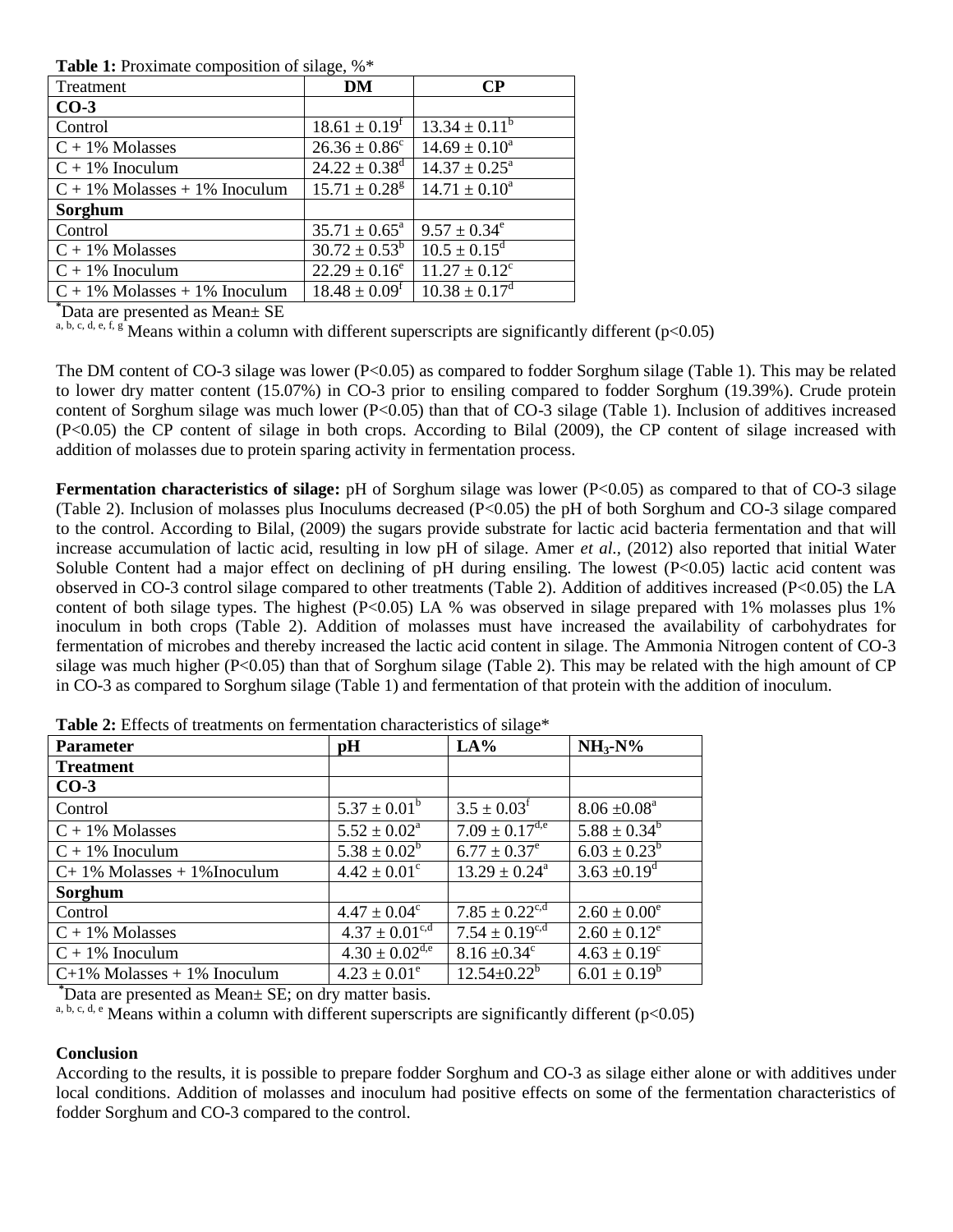**Table 1:** Proximate composition of silage,  $\%$ \*

| Treatment                        | DM                            | $\bf CP$                 |
|----------------------------------|-------------------------------|--------------------------|
| $CO-3$                           |                               |                          |
| Control                          | $18.61 \pm 0.19^t$            | $13.34 \pm 0.11^{\circ}$ |
| $C + 1\%$ Molasses               | $26.36 \pm 0.86^{\circ}$      | $14.69 \pm 0.10^a$       |
| $C + 1\%$ Inoculum               | $24.22 \pm 0.38$ <sup>d</sup> | $14.37 \pm 0.25^{\circ}$ |
| $C + 1\%$ Molasses + 1% Inoculum | $15.71 \pm 0.28^g$            | $14.71 \pm 0.10^a$       |
| Sorghum                          |                               |                          |
| Control                          | $35.71 \pm 0.65^{\circ}$      | $9.57 \pm 0.34^e$        |
| $C + 1\%$ Molasses               | $30.72 \pm 0.53^b$            | $10.5 \pm 0.15^d$        |
| $C + 1\%$ Inoculum               | $22.29 \pm 0.16^e$            | $11.27 \pm 0.12^c$       |
| $C + 1\%$ Molasses + 1% Inoculum | $18.48 \pm 0.09^f$            | $10.38 \pm 0.17^{\rm d}$ |

**\***Data are presented as Mean± SE

a, b, c, d, e, f, g Means within a column with different superscripts are significantly different ( $p<0.05$ )

The DM content of CO-3 silage was lower (P<0.05) as compared to fodder Sorghum silage (Table 1). This may be related to lower dry matter content (15.07%) in CO-3 prior to ensiling compared to fodder Sorghum (19.39%). Crude protein content of Sorghum silage was much lower (P<0.05) than that of CO-3 silage (Table 1). Inclusion of additives increased (P<0.05) the CP content of silage in both crops. According to Bilal (2009), the CP content of silage increased with addition of molasses due to protein sparing activity in fermentation process.

**Fermentation characteristics of silage:** pH of Sorghum silage was lower (P<0.05) as compared to that of CO-3 silage (Table 2). Inclusion of molasses plus Inoculums decreased (P<0.05) the pH of both Sorghum and CO-3 silage compared to the control. According to Bilal, (2009) the sugars provide substrate for lactic acid bacteria fermentation and that will increase accumulation of lactic acid, resulting in low pH of silage. Amer *et al.,* (2012) also reported that initial Water Soluble Content had a major effect on declining of pH during ensiling. The lowest (P<0.05) lactic acid content was observed in CO-3 control silage compared to other treatments (Table 2). Addition of additives increased (P<0.05) the LA content of both silage types. The highest (P<0.05) LA % was observed in silage prepared with 1% molasses plus 1% inoculum in both crops (Table 2). Addition of molasses must have increased the availability of carbohydrates for fermentation of microbes and thereby increased the lactic acid content in silage. The Ammonia Nitrogen content of CO-3 silage was much higher (P<0.05) than that of Sorghum silage (Table 2). This may be related with the high amount of CP in CO-3 as compared to Sorghum silage (Table 1) and fermentation of that protein with the addition of inoculum.

| <b>Parameter</b>               | pH                             | ా<br>LA%                     | $NH3-N%$                   |
|--------------------------------|--------------------------------|------------------------------|----------------------------|
| <b>Treatment</b>               |                                |                              |                            |
| $CO-3$                         |                                |                              |                            |
| Control                        | $5.37 \pm 0.01^b$              | $3.5 \pm 0.03$ <sup>f</sup>  | $8.06 \pm 0.08^a$          |
| $C + 1\%$ Molasses             | $5.52 \pm 0.02^{\text{a}}$     | $7.09 \pm 0.17^{\text{d,e}}$ | $5.88 \pm 0.34^b$          |
| $C + 1\%$ Inoculum             | $5.38 \pm 0.02^b$              | $\overline{6.77} \pm 0.37^e$ | $6.03 \pm 0.23^b$          |
| $C+1\%$ Molasses + 1% Inoculum | $4.42 \pm 0.01^{\circ}$        | $13.29 \pm 0.24^{\circ}$     | $3.63 \pm 0.19^{\text{d}}$ |
| Sorghum                        |                                |                              |                            |
| Control                        | $4.47 \pm 0.04^c$              | $7.85 \pm 0.22^{c,d}$        | $2.60 \pm 0.00^e$          |
| $C + 1\%$ Molasses             | $4.37 \pm 0.01^{\text{c,d}}$   | $7.54 \pm 0.19^{c,d}$        | $2.60 \pm 0.12^e$          |
| $C + 1\%$ Inoculum             | $4.30 \pm 0.02$ <sup>d,e</sup> | $8.16 \pm 0.34$ <sup>c</sup> | $4.63 \pm 0.19^c$          |
| $C+1\%$ Molasses + 1% Inoculum | $4.23 \pm 0.01^e$              | $12.54 \pm 0.22^b$           | $6.01 \pm 0.19^b$          |

**Table 2:** Effects of treatments on fermentation characteristics of silage\*

**\***Data are presented as Mean± SE; on dry matter basis.

Bata are presented as from  $z = \frac{z_1}{z_2} + \frac{z_3}{z_3} + \frac{z_4}{z_4}$  because  $z_4$ ,  $\frac{z_5}{z_5}$  are significantly different (p<0.05)

### **Conclusion**

According to the results, it is possible to prepare fodder Sorghum and CO-3 as silage either alone or with additives under local conditions. Addition of molasses and inoculum had positive effects on some of the fermentation characteristics of fodder Sorghum and CO-3 compared to the control.